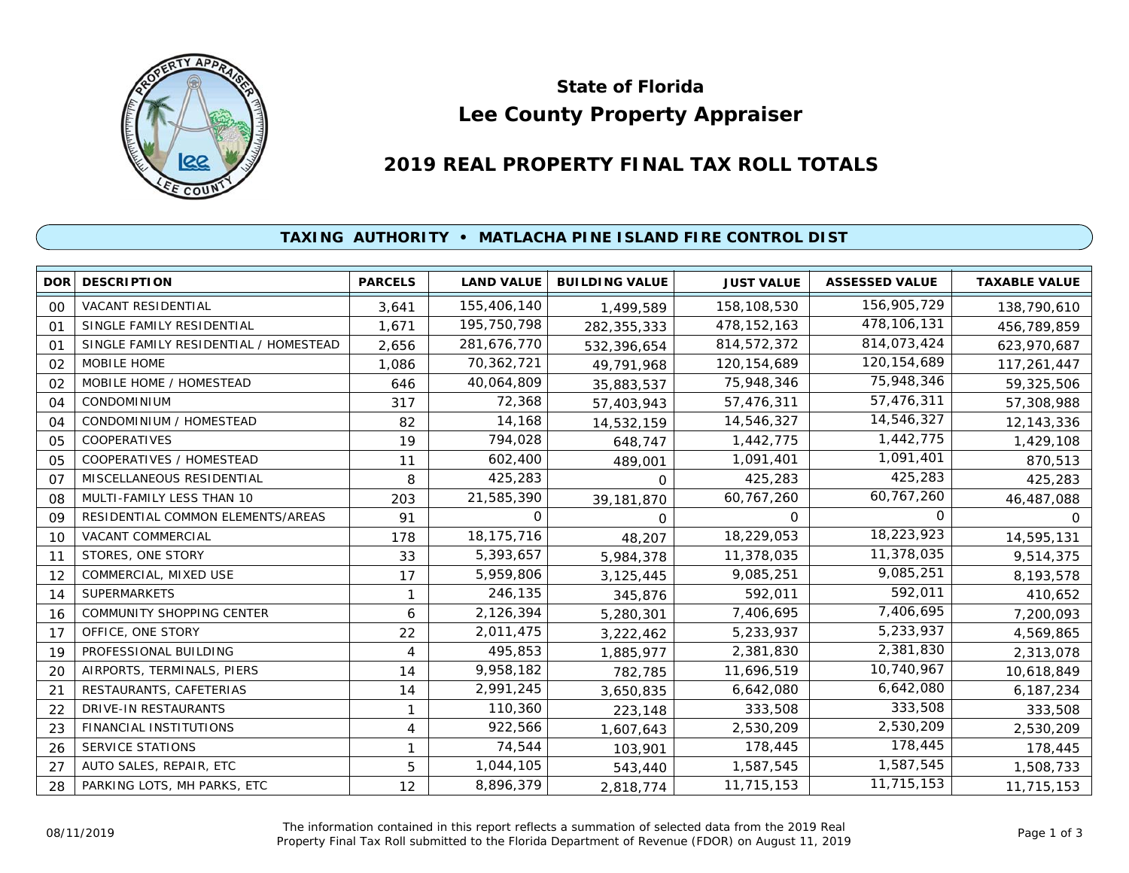

# **Lee County Property Appraiser State of Florida**

# **2019 REAL PROPERTY FINAL TAX ROLL TOTALS**

## **TAXING AUTHORITY • MATLACHA PINE ISLAND FIRE CONTROL DIST**

| <b>DOR</b>     | <b>DESCRIPTION</b>                    | <b>PARCELS</b> | <b>LAND VALUE</b> | <b>BUILDING VALUE</b> | <b>JUST VALUE</b> | <b>ASSESSED VALUE</b> | <b>TAXABLE VALUE</b> |
|----------------|---------------------------------------|----------------|-------------------|-----------------------|-------------------|-----------------------|----------------------|
| 00             | <b>VACANT RESIDENTIAL</b>             | 3,641          | 155,406,140       | 1,499,589             | 158,108,530       | 156,905,729           | 138,790,610          |
| 01             | SINGLE FAMILY RESIDENTIAL             | 1.671          | 195,750,798       | 282,355,333           | 478, 152, 163     | 478,106,131           | 456,789,859          |
| 01             | SINGLE FAMILY RESIDENTIAL / HOMESTEAD | 2,656          | 281,676,770       | 532,396,654           | 814,572,372       | 814,073,424           | 623,970,687          |
| 02             | MOBILE HOME                           | 1,086          | 70,362,721        | 49,791,968            | 120, 154, 689     | 120, 154, 689         | 117,261,447          |
| 02             | MOBILE HOME / HOMESTEAD               | 646            | 40,064,809        | 35,883,537            | 75,948,346        | 75,948,346            | 59,325,506           |
| 04             | CONDOMINIUM                           | 317            | 72,368            | 57,403,943            | 57,476,311        | 57,476,311            | 57,308,988           |
| 04             | CONDOMINIUM / HOMESTEAD               | 82             | 14,168            | 14,532,159            | 14,546,327        | 14,546,327            | 12,143,336           |
| 05             | <b>COOPERATIVES</b>                   | 19             | 794,028           | 648,747               | 1,442,775         | 1,442,775             | 1,429,108            |
| 05             | COOPERATIVES / HOMESTEAD              | 11             | 602,400           | 489,001               | 1,091,401         | 1,091,401             | 870,513              |
| O <sub>7</sub> | MISCELLANEOUS RESIDENTIAL             | 8              | 425,283           | 0                     | 425,283           | 425,283               | 425,283              |
| 08             | MULTI-FAMILY LESS THAN 10             | 203            | 21,585,390        | 39,181,870            | 60,767,260        | 60,767,260            | 46,487,088           |
| 09             | RESIDENTIAL COMMON ELEMENTS/AREAS     | 91             | 0                 | $\Omega$              | 0                 | 0                     | 0                    |
| 10             | <b>VACANT COMMERCIAL</b>              | 178            | 18, 175, 716      | 48,207                | 18,229,053        | 18,223,923            | 14,595,131           |
| 11             | STORES, ONE STORY                     | 33             | 5,393,657         | 5,984,378             | 11,378,035        | 11,378,035            | 9,514,375            |
| 12             | COMMERCIAL, MIXED USE                 | 17             | 5,959,806         | 3,125,445             | 9,085,251         | 9,085,251             | 8,193,578            |
| 14             | <b>SUPERMARKETS</b>                   | 1              | 246,135           | 345,876               | 592,011           | 592,011               | 410,652              |
| 16             | COMMUNITY SHOPPING CENTER             | 6              | 2,126,394         | 5,280,301             | 7,406,695         | 7,406,695             | 7,200,093            |
| 17             | OFFICE, ONE STORY                     | 22             | 2,011,475         | 3,222,462             | 5,233,937         | 5,233,937             | 4,569,865            |
| 19             | PROFESSIONAL BUILDING                 | 4              | 495,853           | 1,885,977             | 2,381,830         | 2,381,830             | 2,313,078            |
| 20             | AIRPORTS, TERMINALS, PIERS            | 14             | 9,958,182         | 782,785               | 11,696,519        | 10,740,967            | 10,618,849           |
| 21             | RESTAURANTS, CAFETERIAS               | 14             | 2,991,245         | 3,650,835             | 6,642,080         | 6,642,080             | 6,187,234            |
| 22             | DRIVE-IN RESTAURANTS                  | 1              | 110,360           | 223,148               | 333,508           | 333,508               | 333,508              |
| 23             | FINANCIAL INSTITUTIONS                | 4              | 922,566           | 1,607,643             | 2,530,209         | 2,530,209             | 2,530,209            |
| 26             | SERVICE STATIONS                      | 1              | 74,544            | 103,901               | 178,445           | 178,445               | 178,445              |
| 27             | AUTO SALES, REPAIR, ETC               | 5              | 1,044,105         | 543,440               | 1,587,545         | 1,587,545             | 1,508,733            |
| 28             | PARKING LOTS, MH PARKS, ETC           | 12             | 8,896,379         | 2,818,774             | 11,715,153        | 11,715,153            | 11,715,153           |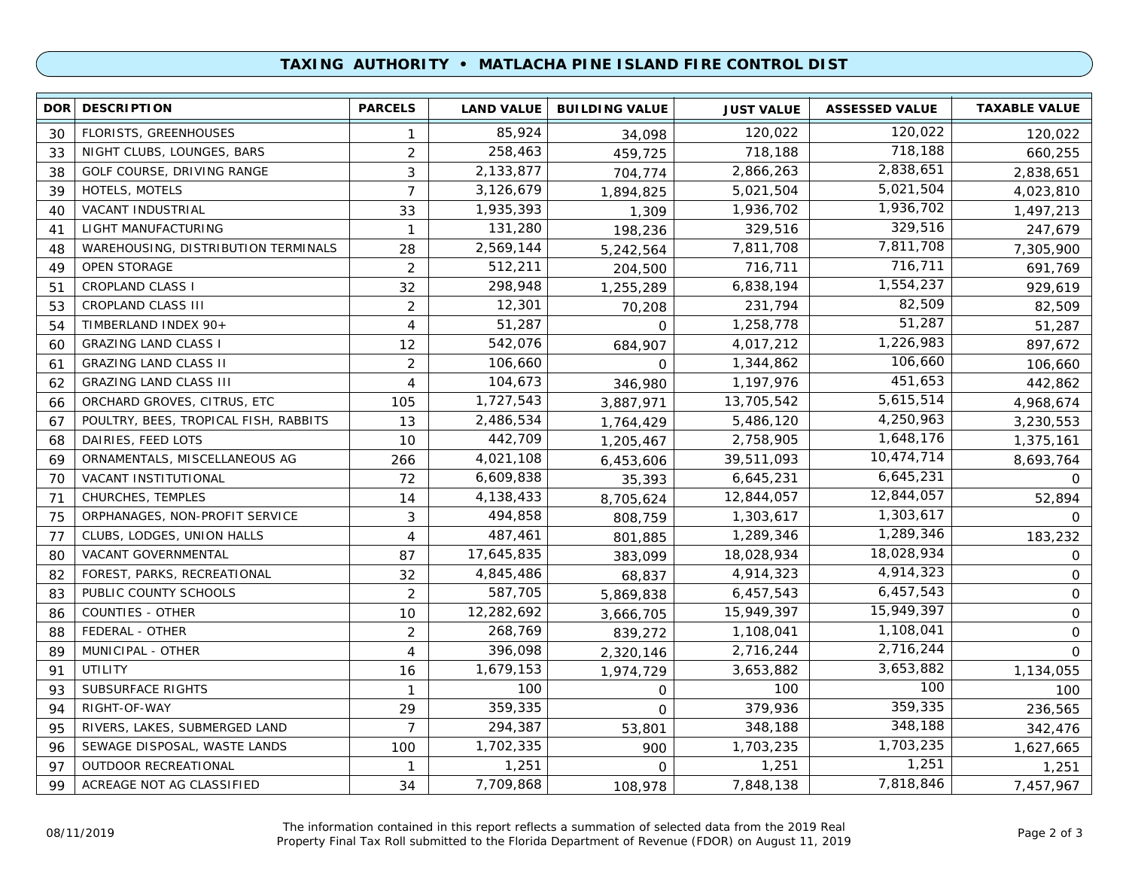### **TAXING AUTHORITY • MATLACHA PINE ISLAND FIRE CONTROL DIST**

| <b>DOR</b> | <b>DESCRIPTION</b>                         | <b>PARCELS</b> | <b>LAND VALUE</b> | <b>BUILDING VALUE</b> | <b>JUST VALUE</b> | <b>ASSESSED VALUE</b> | <b>TAXABLE VALUE</b> |
|------------|--------------------------------------------|----------------|-------------------|-----------------------|-------------------|-----------------------|----------------------|
| 30         | <b>FLORISTS, GREENHOUSES</b>               | 1              | 85,924            | 34,098                | 120,022           | 120,022               | 120,022              |
| 33         | NIGHT CLUBS, LOUNGES, BARS                 | $\overline{2}$ | 258,463           | 459,725               | 718,188           | 718,188               | 660,255              |
| 38         | GOLF COURSE, DRIVING RANGE                 | 3              | 2,133,877         | 704,774               | 2,866,263         | 2,838,651             | 2,838,651            |
| 39         | HOTELS, MOTELS                             | $\overline{7}$ | 3,126,679         | 1,894,825             | 5,021,504         | 5,021,504             | 4,023,810            |
| 40         | VACANT INDUSTRIAL                          | 33             | 1,935,393         | 1,309                 | 1,936,702         | 1,936,702             | 1,497,213            |
| 41         | LIGHT MANUFACTURING                        | $\mathbf{1}$   | 131,280           | 198,236               | 329,516           | 329,516               | 247,679              |
| 48         | <b>WAREHOUSING, DISTRIBUTION TERMINALS</b> | 28             | 2,569,144         | 5,242,564             | 7,811,708         | 7,811,708             | 7,305,900            |
| 49         | OPEN STORAGE                               | $\overline{2}$ | 512,211           | 204,500               | 716,711           | 716,711               | 691,769              |
| 51         | <b>CROPLAND CLASS I</b>                    | 32             | 298,948           | 1,255,289             | 6,838,194         | 1,554,237             | 929,619              |
| 53         | CROPLAND CLASS III                         | $\overline{2}$ | 12,301            | 70,208                | 231,794           | 82,509                | 82,509               |
| 54         | TIMBERLAND INDEX 90+                       | 4              | 51,287            | $\mathbf 0$           | 1,258,778         | 51,287                | 51,287               |
| 60         | <b>GRAZING LAND CLASS I</b>                | 12             | 542,076           | 684,907               | 4,017,212         | 1,226,983             | 897,672              |
| 61         | <b>GRAZING LAND CLASS II</b>               | $\overline{2}$ | 106,660           | $\Omega$              | 1,344,862         | 106,660               | 106,660              |
| 62         | <b>GRAZING LAND CLASS III</b>              | $\overline{4}$ | 104,673           | 346,980               | 1,197,976         | 451,653               | 442,862              |
| 66         | ORCHARD GROVES, CITRUS, ETC                | 105            | 1,727,543         | 3,887,971             | 13,705,542        | 5,615,514             | 4,968,674            |
| 67         | POULTRY, BEES, TROPICAL FISH, RABBITS      | 13             | 2,486,534         | 1,764,429             | 5,486,120         | 4,250,963             | 3,230,553            |
| 68         | DAIRIES, FEED LOTS                         | 10             | 442,709           | 1,205,467             | 2,758,905         | 1,648,176             | 1,375,161            |
| 69         | ORNAMENTALS, MISCELLANEOUS AG              | 266            | 4,021,108         | 6,453,606             | 39,511,093        | 10,474,714            | 8,693,764            |
| 70         | VACANT INSTITUTIONAL                       | 72             | 6,609,838         | 35,393                | 6,645,231         | 6,645,231             | $\Omega$             |
| 71         | <b>CHURCHES, TEMPLES</b>                   | 14             | 4,138,433         | 8,705,624             | 12,844,057        | 12,844,057            | 52,894               |
| 75         | ORPHANAGES, NON-PROFIT SERVICE             | 3              | 494,858           | 808,759               | 1,303,617         | 1,303,617             | 0                    |
| 77         | CLUBS, LODGES, UNION HALLS                 | 4              | 487,461           | 801,885               | 1,289,346         | 1,289,346             | 183,232              |
| 80         | VACANT GOVERNMENTAL                        | 87             | 17,645,835        | 383.099               | 18,028,934        | 18,028,934            | 0                    |
| 82         | FOREST, PARKS, RECREATIONAL                | 32             | 4,845,486         | 68,837                | 4,914,323         | 4,914,323             | 0                    |
| 83         | PUBLIC COUNTY SCHOOLS                      | 2              | 587,705           | 5,869,838             | 6,457,543         | 6,457,543             | $\mathbf 0$          |
| 86         | COUNTIES - OTHER                           | 10             | 12,282,692        | 3,666,705             | 15,949,397        | 15,949,397            | $\mathsf{O}$         |
| 88         | FEDERAL - OTHER                            | 2              | 268,769           | 839,272               | 1,108,041         | 1,108,041             | $\mathbf 0$          |
| 89         | MUNICIPAL - OTHER                          | 4              | 396,098           | 2,320,146             | 2,716,244         | 2,716,244             | $\Omega$             |
| 91         | UTILITY                                    | 16             | 1,679,153         | 1,974,729             | 3,653,882         | 3,653,882             | 1,134,055            |
| 93         | <b>SUBSURFACE RIGHTS</b>                   | $\mathbf{1}$   | 100               | 0                     | 100               | 100                   | 100                  |
| 94         | RIGHT-OF-WAY                               | 29             | 359,335           | $\Omega$              | 379,936           | 359,335               | 236,565              |
| 95         | RIVERS, LAKES, SUBMERGED LAND              | $\overline{7}$ | 294,387           | 53,801                | 348,188           | 348,188               | 342,476              |
| 96         | SEWAGE DISPOSAL, WASTE LANDS               | 100            | 1,702,335         | 900                   | 1,703,235         | 1,703,235             | 1,627,665            |
| 97         | <b>OUTDOOR RECREATIONAL</b>                | $\mathbf{1}$   | 1,251             | $\Omega$              | 1,251             | 1,251                 | 1,251                |
| 99         | ACREAGE NOT AG CLASSIFIED                  | 34             | 7,709,868         | 108,978               | 7,848,138         | 7,818,846             | 7,457,967            |